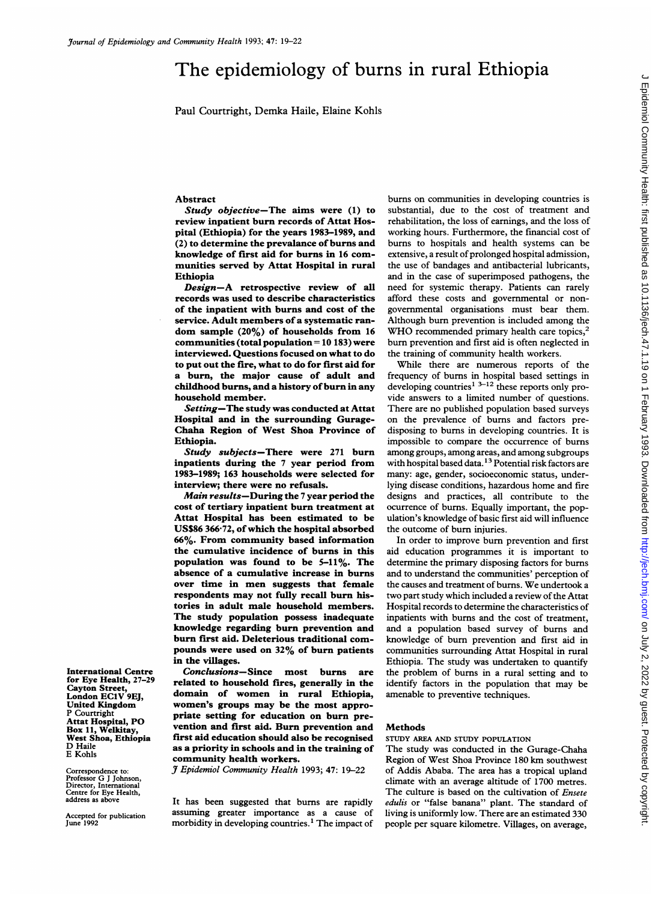# The epidemiology of burns in rural Ethiopia

Paul Courtright, Demka Haile, Elaine Kohls

#### Abstract

Study objective-The aims were (1) to review inpatient burn records of Attat Hospital (Ethiopia) for the years 1983-1989, and (2) to determine the prevalance of burns and knowledge of first aid for burns in 16 communities served by Attat Hospital in rural Ethiopia

Design-A retrospective review of all records was used to describe characteristics of the inpatient with burns and cost of the service. Adult members of a systematic random sample (20%) of households from <sup>16</sup> communities (total population  $= 10 183$ ) were interviewed. Questions focused on what to do to put out the fire, what to do for first aid for a burn, the major cause of adult and childhood burns, and a history of burn in any household member.

Setting-The study was conducted at Attat Hospital and in the surrounding Gurage-Chaha Region of West Shoa Province of Ethiopia.

Study subjects-There were 271 burn inpatients during the 7 year period from 1983-1989; 163 households were selected for interview; there were no refusals.

Main results-During the <sup>7</sup> year period the cost of tertiary inpatient burn treatment at Attat Hospital has been estimated to be US\$86 366-72, of which the hospital absorbed 66%. From community based information the cumulative incidence of burns in this population was found to be  $5-11\%$ . The absence of a cumulative increase in burns over time in men suggests that female respondents may not fully recall burn histories in adult male household members. The study population possess inadequate knowledge regarding burn prevention and burn first aid. Deleterious traditional compounds were used on 32% of burn patients in the villages.

Conclusions-Since most burns are related to household fires, generally in the domain of women in rural Ethiopia, women's groups may be the most appropriate setting for education on burn prevention and first aid. Burn prevention and first aid education should also be recognised as a priority in schools and in the training of community health workers.

Jf Epidemiol Community Health 1993; 47: 19-22

Correspondence to: Professor G <sup>J</sup> Johnson, Director, Intemational entre for Eye Health, address as above

D Haile E Kohls

International Centre for Eye Health, 27-29 Cayton Street, London EClV 9EJ, United Kingdom P Courtright Attat Hospital, PO Box 11, Welkitay, West Shoa, Ethiopia

Accepted for publication June 1992

It has been suggested that burns are rapidly assuming greater importance as a cause of morbidity in developing countries.<sup>1</sup> The impact of burns on communities in developing countries is substantial, due to the cost of treatment and rehabilitation, the loss of earnings, and the loss of working hours. Furthermore, the financial cost of burns to hospitals and health systems can be extensive, a result of prolonged hospital admission, the use of bandages and antibacterial lubricants, and in the case of superimposed pathogens, the need for systemic therapy. Patients can rarely afford these costs and governmental or nongovernmental organisations must bear them. Although burn prevention is included among the WHO recommended primary health care topics, $2\pi$ burn prevention and first aid is often neglected in the training of community health workers.

While there are numerous reports of the frequency of burns in hospital based settings in developing countries<sup>1</sup><sup>3-12</sup> these reports only provide answers to a limited number of questions. There are no published population based surveys on the prevalence of burns and factors predisposing to burns in developing countries. It is impossible to compare the occurrence of burns among groups, among areas, and among subgroups with hospital based data.<sup>13</sup> Potential risk factors are many: age, gender, socioeconomic status, underlying disease conditions, hazardous home and fire designs and practices, all contribute to the ocurrence of burns. Equally important, the population's knowledge of basic first aid will influence the outcome of burn injuries.

In order to improve burn prevention and first aid education programmes it is important to determine the primary disposing factors for burns and to understand the communities' perception of the causes and treatment of burns. We undertook <sup>a</sup> two part study which included a review of the Attat Hospital records to determine the characteristics of inpatients with burns and the cost of treatment, and a population based survey of burns and knowledge of burn prevention and first aid in communities surrounding Attat Hospital in rural Ethiopia. The study was undertaken to quantify the problem of burns in a rural setting and to identify factors in the population that may be amenable to preventive techniques.

# Methods

## STUDY AREA AND STUDY POPULATION

The study was conducted in the Gurage-Chaha Region of West Shoa Province 180 km southwest of Addis Ababa. The area has <sup>a</sup> tropical upland climate with an average altitude of 1700 metres. The culture is based on the cultivation of Ensete edulis or "false banana" plant. The standard of living is uniformly low. There are an estimated 330 people per square kilometre. Villages, on average,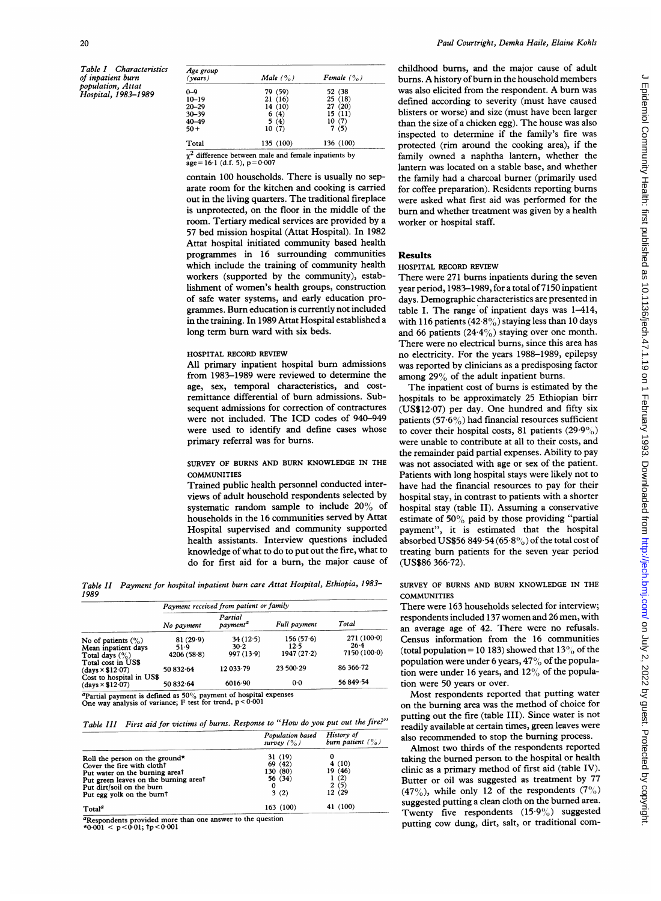Table I Characteristics of inpatient burn population, Attat Hospital, 1983-1989

| Age group |                |                       |
|-----------|----------------|-----------------------|
| (years)   | Male $($ % $)$ | Female $\binom{0}{0}$ |
| $0 - 9$   | 79 (59)        | 52 (38                |
| $10 - 19$ | 21(16)         | 25(18)                |
| $20 - 29$ | 14 (10)        | 27 (20)               |
| $30 - 39$ | 6(4)           | 15(11)                |
| $40 - 49$ | 5(4)           | 10(7)                 |
| $50+$     | 10(7)          | 7(5)                  |
| Total     | 135 (100)      | 136 (100)             |

 $\chi^2$  difference between male and female inpatients by age = 16·1 (d.f. 5),  $p = 0.007$ 

contain 100 households. There is usually no separate room for the kitchen and cooking is carried out in the living quarters. The traditional fireplace is unprotected, on the floor in the middle of the room. Tertiary medical services are provided by <sup>a</sup> 57 bed mission hospital (Attat Hospital). In 1982 Attat hospital initiated community based health programmes in 16 surrounding communities which include the training of community health workers (supported by the community), establishment of women's health groups, construction of safe water systems, and early education programmes. Burn education is currently not included in the training. In 1989 Attat Hospital established a long term burn ward with six beds.

#### HOSPITAL RECORD REVIEW

All primary inpatient hospital bum admissions from 1983-1989 were reviewed to determine the age, sex, temporal characteristics, and costremittance differential of burn admissions. Subsequent admissions for correction of contractures were not included. The ICD codes of 940-949 were used to identify and define cases whose primary referral was for burns.

SURVEY OF BURNS AND BURN KNOWLEDGE IN THE **COMMUNITIES** 

Trained public health personnel conducted interviews of adult household respondents selected by systematic random sample to include  $20\%$  of households in the 16 communities served by Attat Hospital supervised and community supported health assistants. Interview questions included knowledge of what to do to put out the fire, what to do for first aid for a burn, the major cause of

Table II Payment for hospital inpatient burn care Attat Hospital, Ethiopia, 1983- 1989

|                                                            | Payment received from patient or family |                                 |              |              |
|------------------------------------------------------------|-----------------------------------------|---------------------------------|--------------|--------------|
|                                                            | No payment                              | Partial<br>payment <sup>a</sup> | Full payment | Total        |
| No of patients $(\%)$                                      | 81(29.9)                                | 34(12.5)                        | 156(57.6)    | 271(100.0)   |
| Mean inpatient days                                        | 519                                     | 30.2                            | $12-5$       | $26-4$       |
| Total days $(\%)$                                          | 4206(58.8)                              | 997 (13.9)                      | 1947 (27.2)  | 7150 (100.0) |
| Total cost in US\$<br>$(davs \times $12.07)$               | 50 832 64                               | 12033.79                        | 23500.29     | 86 366 72    |
| Cost to hospital in US\$<br>$(\text{days} \times \$12.07)$ | 50 832 64                               | 6016.90                         | 0.0          | 56 849 54    |

aPartial payment is defined as 50% payment of hospital expenses One way analysis of variance; F test for trend, <sup>p</sup> < <sup>0</sup> <sup>001</sup>

Table III First aid for victims of burns. Response to "How do you put out the fire?"

|                                                                                                                                                                                                   | Population based<br>survey $(\%)$                 | History of<br>burn patient $\binom{0}{0}$      |
|---------------------------------------------------------------------------------------------------------------------------------------------------------------------------------------------------|---------------------------------------------------|------------------------------------------------|
| Roll the person on the ground*<br>Cover the fire with cloth†<br>Put water on the burning areat<br>Put green leaves on the burning areat<br>Put dirt/soil on the burn<br>Put egg yolk on the burnt | 31 (19)<br>69 (42)<br>130 (80)<br>56 (34)<br>3(2) | 0<br>4(10)<br>19 (46)<br>(2)<br>2(5)<br>12 (29 |
| Total <sup>a</sup>                                                                                                                                                                                | 163 (100)                                         | 41 (100)                                       |

 ${}^{4}$ Respondents provided more than one answer to the question  $*0.001 < p < 0.01$ ; tp $< 0.001$ 

childhood burns, and the major cause of adult burns. A history of burn in the household members was also elicited from the respondent. A burn was defined according to severity (must have caused blisters or worse) and size (must have been larger than the size of <sup>a</sup> chicken egg). The house was also inspected to determine if the family's fire was protected (rim around the cooking area), if the family owned a naphtha lantern, whether the lantern was located on a stable base, and whether the family had a charcoal burner (primarily used for coffee preparation). Residents reporting burns were asked what first aid was performed for the burn and whether treatment was given by <sup>a</sup> health worker or hospital staff.

## Results

#### HOSPITAL RECORD REVIEW

There were 271 burns inpatients during the seven year period, 1983-1989, for a total of 7150 inpatient days. Demographic characteristics are presented in table I. The range of inpatient days was 1-414, with 116 patients  $(42.8\%)$  staying less than 10 days and 66 patients  $(24.4\%)$  staying over one month. There were no electrical burns, since this area has no electricity. For the years 1988-1989, epilepsy was reported by clinicians as a predisposing factor among 29% of the adult inpatient burns.

The inpatient cost of burns is estimated by the hospitals to be approximately 25 Ethiopian birr (US\$12 07) per day. One hundred and fifty six patients  $(57.6\%)$  had financial resources sufficient to cover their hospital costs, 81 patients  $(29.9\%)$ were unable to contribute at all to their costs, and the remainder paid partial expenses. Ability to pay was not associated with age or sex of the patient. Patients with long hospital stays were likely not to have had the financial resources to pay for their hospital stay, in contrast to patients with a shorter hospital stay (table II). Assuming a conservative estimate of  $50\%$  paid by those providing "partial payment", it is estimated that the hospital absorbed US\$56 849.54 (65.8%) of the total cost of treating burn patients for the seven year period (US\$86 366-72).

SURVEY OF BURNS AND BURN KNOWLEDGE IN THE **COMMUNITIES** 

There were 163 households selected for interview; respondents included 137 women and 26 men, with an average age of 42. There were no refusals. Census information from the 16 communities (total population = 10 183) showed that  $13\%$  of the population were under 6 years,  $47\%$  of the population were under 16 years, and  $12\%$  of the population were 50 years or over.

Most respondents reported that putting water on the burning area was the method of choice for putting out the fire (table III). Since water is not readily available at certain times, green leaves were also recommended to stop the burning process.

Almost two thirds of the respondents reported taking the burned person to the hospital or health clinic as <sup>a</sup> primary method of first aid (table IV). Butter or oil was suggested as treatment by 77 (47%), while only 12 of the respondents (7%) suggested putting <sup>a</sup> clean cloth on the burned area. Twenty five respondents  $(15.9\%)$  suggested putting cow dung, dirt, salt, or traditional com-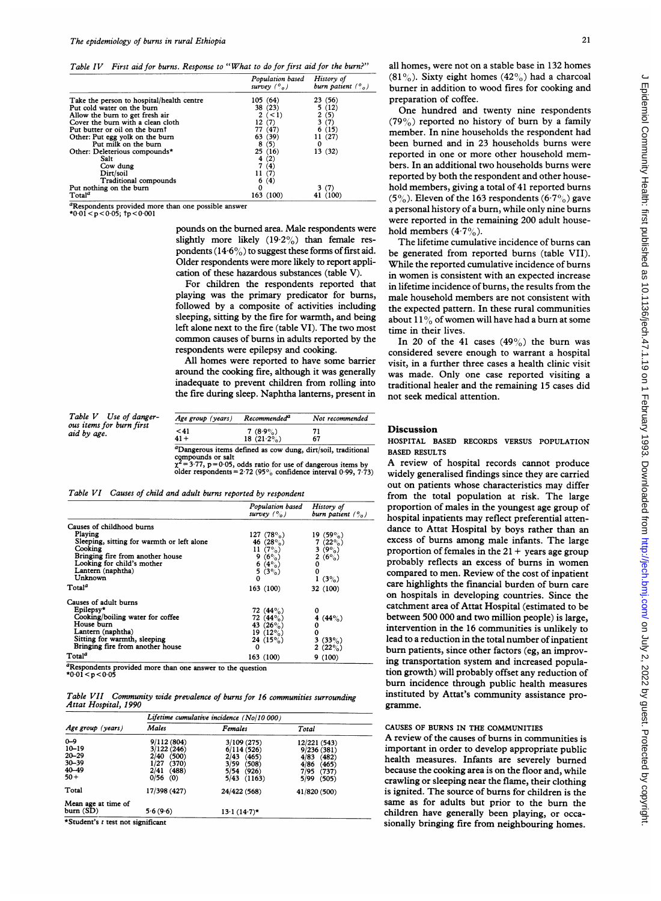Table IV First aid for burns. Response to "What to do for first aid for the burn?"

|                                           | Population based<br>survey $\binom{0}{0}$ | History of<br>burn patient $\binom{0}{0}$ |
|-------------------------------------------|-------------------------------------------|-------------------------------------------|
| Take the person to hospital/health centre | 105(64)                                   | 23 (56)                                   |
| Put cold water on the burn                | 38 (23)                                   | 5(12)                                     |
| Allow the burn to get fresh air           | $2 (-1)$                                  | 2(5)                                      |
| Cover the burn with a clean cloth         | (7)<br>12                                 | 3(7)                                      |
| Put butter or oil on the burnt            | 77 (47)                                   | 6(15)                                     |
| Other: Put egg yolk on the burn           | 63 (39)                                   | 11(27)                                    |
| Put milk on the burn                      | 8(5)                                      | $\Omega$                                  |
| Other: Deleterious compounds*             | 25(16)                                    | 13(32)                                    |
| Salt                                      | 4 $(2)$                                   |                                           |
| Cow dung                                  | 7(4)                                      |                                           |
| Dirt/soil                                 | 11(7)                                     |                                           |
| <b>Traditional compounds</b>              | 6<br>(4)                                  |                                           |
| Put nothing on the burn                   | $\bf{0}$                                  | 3 (7)                                     |
| Total <sup>a</sup>                        | 163 (100)                                 | 41 (100)                                  |

"Respondents provided more than one possible answer  $*0.01 < p < 0.05$ ;  $tp < 0.001$ 

pounds on the burned area. Male respondents were slightly more likely  $(19.2\%)$  than female respondents  $(14.6\%)$  to suggest these forms of first aid. Older respondents were more likely to report application of these hazardous substances (table V).

For children the respondents reported that playing was the primary predicator for burns, followed by a composite of activities including sleeping, sitting by the fire for warmth, and being left alone next to the fire (table VI). The two most common causes of burns in adults reported by the respondents were epilepsy and cooking.

All homes were reported to have some barrier around the cooking fire, although it was generally inadequate to prevent children from rolling into the fire during sleep. Naphtha lanterns, present in

| Table V Use of danger-                  | Age group (years)                                                                                                                                                    | Recommended <sup>a</sup>    | Not recommended |
|-----------------------------------------|----------------------------------------------------------------------------------------------------------------------------------------------------------------------|-----------------------------|-----------------|
| ous items for burn first<br>aid by age. | $<$ 41<br>$41 +$                                                                                                                                                     | $7(8.9\%)$<br>18 $(21.2\%)$ | 67              |
|                                         | <sup>a</sup> Dangerous items defined as cow dung, dirt/soil, traditional<br>compounds or salt<br>$\chi^2$ = 3.77, p = 0.05, odds ratio for use of dangerous items by |                             |                 |

 $\chi^2 = 3.77$ , p = 0.05, odds ratio for use of dangerous items by<br>older respondents = 2.72 (95% confidence interval 0.99, 7.73)

Table VI Causes of child and adult burns reported by respondent

|                                            | Population based<br>survey $(\frac{6}{6})$ | History of<br>burn patient $\binom{0}{0}$ |
|--------------------------------------------|--------------------------------------------|-------------------------------------------|
| Causes of childhood burns                  |                                            |                                           |
| Playing                                    | 127 (78 <sup>o</sup> <sub>6</sub> )        | 19 (59%)                                  |
| Sleeping, sitting for warmth or left alone | 46 $(28\%)$                                | 7 $(22\%)$                                |
| Cooking                                    | 11 $(7\%)$                                 | 3 $(9\%)$                                 |
| Bringing fire from another house           | 9 (6%)                                     | 2 ( $6\%$ )                               |
| Looking for child's mother                 | 6 $(4\%)$                                  | 0                                         |
| Lantern (naphtha)                          | 5 $(3\%)$                                  |                                           |
| Unknown                                    | 0                                          | 1(3%)                                     |
| Total <sup>a</sup>                         | 163(100)                                   | 32 (100)                                  |
| Causes of adult burns                      |                                            |                                           |
| Epilepsy*                                  | 72 $(44\%)$                                | 0                                         |
| Cooking/boiling water for coffee           | 72 $(44\%)$                                | 4 $(44\%)$                                |
| House burn                                 | 43 $(26\%)$                                |                                           |
| Lantern (naphtha)                          | 19 $(12\%)$                                | 0                                         |
| Sitting for warmth, sleeping               | 24 $(15\%)$                                | 3 $(33%)$                                 |
| Bringing fire from another house           | 0                                          | 2 $(22%)$                                 |
| Total <sup>a</sup>                         | 163 (100)                                  | 9(100)                                    |

Respondents provided more than one answer to the question  $*0.01 < p < 0.05$ 

Table VII Community wide prevalence of burns for <sup>16</sup> communities surrounding Attat Hospital, <sup>1990</sup>

| Lifetime cumulative incidence $(No/10 000)$                                                 |                                                                                                |                                                                                                |  |
|---------------------------------------------------------------------------------------------|------------------------------------------------------------------------------------------------|------------------------------------------------------------------------------------------------|--|
| Males                                                                                       | Females                                                                                        | Total                                                                                          |  |
| 9/112(804)<br>3/122 (246)<br>(500)<br>2/40<br>1/27<br>(370)<br>(488)<br>2/41<br>0/56<br>(0) | 3/109 (275)<br>6/114(526)<br>2/43<br>(465)<br>3/59<br>(508)<br>5/54<br>(926)<br>5/43<br>(1163) | 12/221 (543)<br>9/236(381)<br>4/83<br>(482)<br>4/86<br>(465)<br>7/95<br>(737)<br>(505)<br>5/99 |  |
| 17/398 (427)                                                                                | 24/422 (568)                                                                                   | 41/820 (500)                                                                                   |  |
| 5.6(9.6)                                                                                    | $13.1(14.7)$ *                                                                                 |                                                                                                |  |
|                                                                                             |                                                                                                |                                                                                                |  |

\*Student's <sup>t</sup> test not significant

all homes, were not on a stable base in 132 homes  $(81\%)$ . Sixty eight homes  $(42\%)$  had a charcoal burner in addition to wood fires for cooking and preparation of coffee.

One hundred and twenty nine respondents  $(79\%)$  reported no history of burn by a family member. In nine households the respondent had been burned and in 23 households burns were reported in one or more other household members. In an additional two households burns were reported by both the respondent and other household members, giving a total of 41 reported burns (5%). Eleven of the 163 respondents (6.7%) gave a personal history of a burn, while only nine burns were reported in the remaining 200 adult household members  $(4.7\%)$ .

The lifetime cumulative incidence of burns can be generated from reported burns (table VII). While the reported cumulative incidence of burns in women is consistent with an expected increase in lifetime incidence of burns, the results from the male household members are not consistent with the expected pattern. In these rural communities about  $11\%$  of women will have had a burn at some time in their lives.

In 20 of the 41 cases  $(49\%)$  the burn was considered severe enough to warrant a hospital visit, in a further three cases a health clinic visit was made. Only one case reported visiting a traditional healer and the remaining 15 cases did not seek medical attention.

#### **Discussion**

HOSPITAL BASED RECORDS VERSUS POPULATION BASED RESULTS

A review of hospital records cannot produce widely generalised findings since they are carried out on patients whose characteristics may differ from the total population at risk. The large proportion of males in the youngest age group of hospital inpatients may reflect preferential attendance to Attat Hospital by boys rather than an excess of burns among male infants. The large proportion of females in the  $21 +$  years age group probably reflects an excess of burns in women compared to men. Review of the cost of inpatient care highlights the financial burden of burn care on hospitals in developing countries. Since the catchment area of Attat Hospital (estimated to be between 500 000 and two million people) is large, intervention in the 16 communities is unlikely to lead to a reduction in the total number of inpatient burn patients, since other factors (eg, an improving transportation system and increased population growth) will probably offset any reduction of burn incidence through public health measures instituted by Attat's community assistance programme.

# CAUSES OF BURNS IN THE COMMUNITIES

A review of the causes of burns in communities is important in order to develop appropriate public health measures. Infants are severely burned because the cooking area is on the floor and, while crawling or sleeping near the flame, their clothing is ignited. The source of burns for children is the same as for adults but prior to the burn the children have generally been playing, or occasionally bringing fire from neighbouring homes.